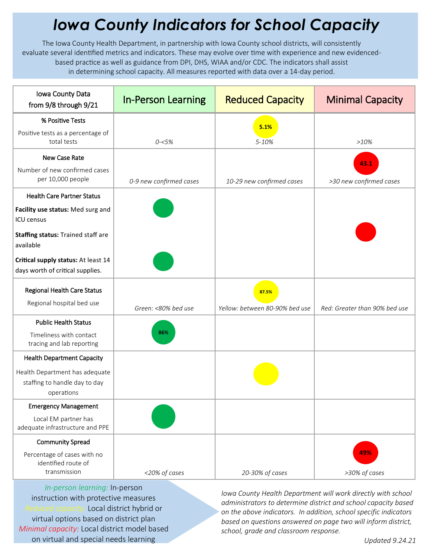## *Iowa County Indicators for School Capacity*

The Iowa County Health Department, in partnership with Iowa County school districts, will consistently evaluate several identified metrics and indicators. These may evolve over time with experience and new evidencedbased practice as well as guidance from DPI, DHS, WIAA and/or CDC. The indicators shall assist in determining school capacity. All measures reported with data over a 14-day period.

| Iowa County Data<br>from 9/8 through 9/21                                     | <b>In-Person Learning</b> | <b>Reduced Capacity</b>        | <b>Minimal Capacity</b>       |
|-------------------------------------------------------------------------------|---------------------------|--------------------------------|-------------------------------|
| % Positive Tests                                                              |                           | 5.1%                           |                               |
| Positive tests as a percentage of<br>total tests                              | $0 - 5%$                  | 5-10%                          | $>10\%$                       |
| New Case Rate                                                                 |                           |                                | 43.1                          |
| Number of new confirmed cases<br>per 10,000 people                            | 0-9 new confirmed cases   | 10-29 new confirmed cases      | >30 new confirmed cases       |
| <b>Health Care Partner Status</b>                                             |                           |                                |                               |
| Facility use status: Med surg and<br><b>ICU</b> census                        |                           |                                |                               |
| Staffing status: Trained staff are<br>available                               |                           |                                |                               |
| Critical supply status: At least 14<br>days worth of critical supplies.       |                           |                                |                               |
| <b>Regional Health Care Status</b>                                            |                           | 87.5%                          |                               |
| Regional hospital bed use                                                     | Green: <80% bed use       | Yellow: between 80-90% bed use | Red: Greater than 90% bed use |
| <b>Public Health Status</b>                                                   |                           |                                |                               |
| Timeliness with contact<br>tracing and lab reporting                          | 86%                       |                                |                               |
| <b>Health Department Capacity</b>                                             |                           |                                |                               |
| Health Department has adequate<br>staffing to handle day to day<br>operations |                           |                                |                               |
| <b>Emergency Management</b>                                                   |                           |                                |                               |
| Local EM partner has<br>adequate infrastructure and PPE                       |                           |                                |                               |
| <b>Community Spread</b>                                                       |                           |                                |                               |
| Percentage of cases with no<br>identified route of                            |                           |                                | 49%                           |
| transmission                                                                  | <20% of cases             | 20-30% of cases                | >30% of cases                 |

*In-person learning:* In-person instruction with protective measures *Reduced capacity:* Local district hybrid or virtual options based on district plan *Minimal capacity:* Local district model based on virtual and special needs learning

*Iowa County Health Department will work directly with school administrators to determine district and school capacity based on the above indicators. In addition, school specific indicators based on questions answered on page two will inform district, school, grade and classroom response.*